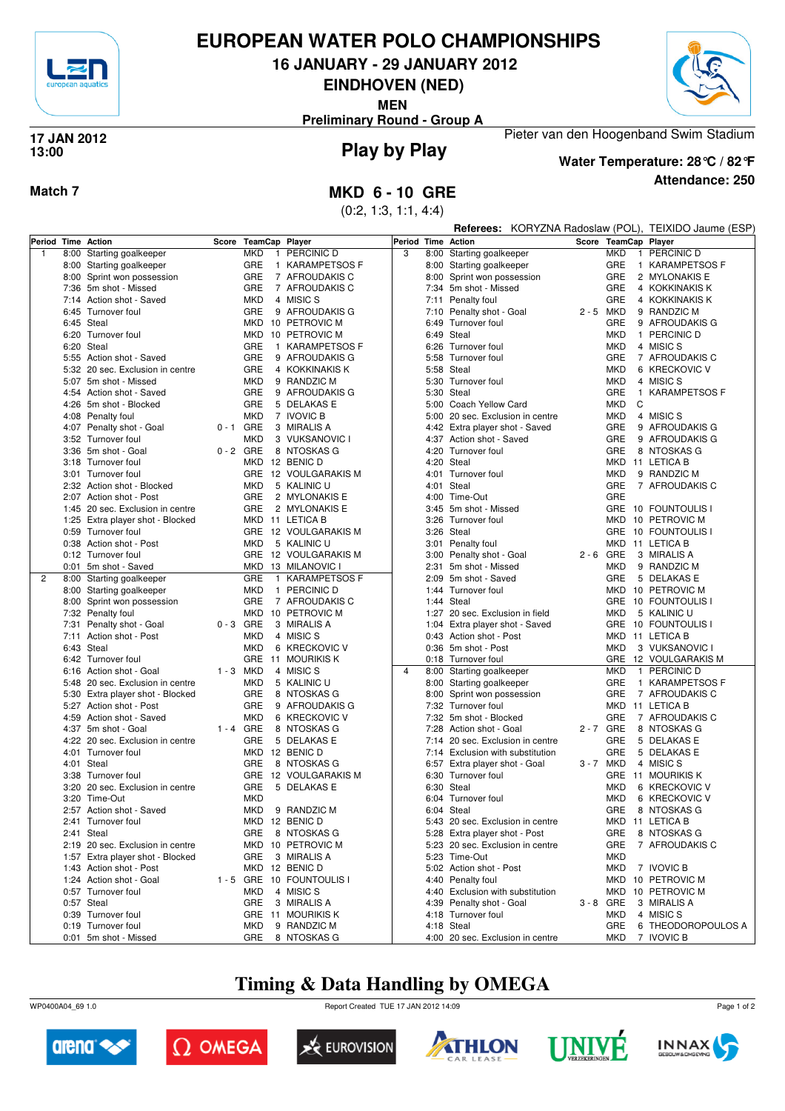

## **EUROPEAN WATER POLO CHAMPIONSHIPS**

**16 JANUARY - 29 JANUARY 2012**

**EINDHOVEN (NED)**

**MEN**

**Preliminary Round - Group A**



#### **Play by Play 17 JAN 2012 13:00**



**Water Temperature: 28°C / 82°F**

Pieter van den Hoogenband Swim Stadium

**Attendance: 250**

### **Match 7 MKD 6 - 10 GRE**

(0:2, 1:3, 1:1, 4:4)

|                |                                                   |             |                      |                                     |                |      |                                                     |                      |                   |   | Referees: KORYZNA Radoslaw (POL), TEIXIDO Jaume (ESP) |
|----------------|---------------------------------------------------|-------------|----------------------|-------------------------------------|----------------|------|-----------------------------------------------------|----------------------|-------------------|---|-------------------------------------------------------|
|                | Period Time Action                                |             | Score TeamCap Player |                                     | Period         |      | <b>Time Action</b>                                  | Score TeamCap Player |                   |   |                                                       |
| $\mathbf{1}$   | 8:00 Starting goalkeeper                          |             | <b>MKD</b>           | 1 PERCINIC D                        | 3              | 8:00 | Starting goalkeeper                                 |                      | <b>MKD</b>        |   | 1 PERCINIC D                                          |
|                | 8:00 Starting goalkeeper                          |             | GRE                  | 1 KARAMPETSOS F                     |                |      | 8:00 Starting goalkeeper                            |                      | GRE               |   | 1 KARAMPETSOS F                                       |
|                | 8:00 Sprint won possession                        |             | GRE                  | 7 AFROUDAKIS C                      |                |      | 8:00 Sprint won possession                          |                      | GRE               |   | 2 MYLONAKIS E                                         |
|                | 7:36 5m shot - Missed                             |             | <b>GRE</b>           | 7 AFROUDAKIS C                      |                |      | 7:34 5m shot - Missed                               |                      | GRE               |   | 4 KOKKINAKIS K                                        |
|                | 7:14 Action shot - Saved                          |             | <b>MKD</b>           | 4 MISIC S                           |                |      | 7:11 Penalty foul                                   |                      | GRE               |   | 4 KOKKINAKIS K                                        |
|                | 6:45 Turnover foul                                |             | GRE                  | 9 AFROUDAKIS G                      |                |      | 7:10 Penalty shot - Goal                            | 2 - 5 MKD            |                   |   | 9 RANDZIC M                                           |
|                | 6:45 Steal                                        |             |                      | MKD 10 PETROVIC M                   |                |      | 6:49 Turnover foul                                  |                      | GRE               |   | 9 AFROUDAKIS G                                        |
|                | 6:20 Turnover foul                                |             |                      | MKD 10 PETROVIC M                   |                |      | 6:49 Steal                                          |                      | <b>MKD</b>        |   | 1 PERCINIC D                                          |
|                | 6:20 Steal                                        |             | GRE<br>$\mathbf{1}$  | KARAMPETSOS F                       |                |      | 6:26 Turnover foul                                  |                      | <b>MKD</b>        |   | 4 MISIC S                                             |
|                | 5:55 Action shot - Saved                          |             | GRE                  | 9 AFROUDAKIS G                      |                |      | 5:58 Turnover foul                                  |                      | <b>GRE</b>        |   | 7 AFROUDAKIS C                                        |
|                | 5:32 20 sec. Exclusion in centre                  |             | <b>GRE</b>           | 4 KOKKINAKIS K                      |                |      | 5:58 Steal                                          |                      | <b>MKD</b>        |   | 6 KRECKOVIC V                                         |
|                | 5:07 5m shot - Missed                             |             | <b>MKD</b>           | 9 RANDZIC M                         |                |      | 5:30 Turnover foul                                  |                      | <b>MKD</b>        |   | 4 MISIC S                                             |
|                | 4:54 Action shot - Saved                          |             | GRE                  | 9 AFROUDAKIS G                      |                |      | 5:30 Steal                                          |                      | GRE               |   | 1 KARAMPETSOS F                                       |
|                | 4:26 5m shot - Blocked                            |             | GRE                  | 5 DELAKAS E                         |                |      | 5:00 Coach Yellow Card                              |                      | MKD               | C |                                                       |
|                | 4:08 Penalty foul                                 |             | <b>MKD</b>           | 7 IVOVIC B                          |                |      | 5:00 20 sec. Exclusion in centre                    |                      | MKD               |   | 4 MISIC S                                             |
|                | 4:07 Penalty shot - Goal                          | $0 - 1$ GRE |                      | 3 MIRALIS A                         |                |      | 4:42 Extra player shot - Saved                      |                      | <b>GRE</b>        |   | 9 AFROUDAKIS G                                        |
|                | 3:52 Turnover foul                                |             | <b>MKD</b>           | 3 VUKSANOVIC I                      |                |      | 4:37 Action shot - Saved                            |                      | GRE<br><b>GRE</b> |   | 9 AFROUDAKIS G                                        |
|                | 3:36 5m shot - Goal                               | $0 - 2$ GRE |                      | 8 NTOSKAS G<br>MKD 12 BENIC D       |                |      | 4:20 Turnover foul<br>4:20 Steal                    |                      |                   |   | 8 NTOSKAS G<br>MKD 11 LETICA B                        |
|                | 3:18 Turnover foul                                |             |                      |                                     |                | 4:01 |                                                     |                      |                   |   |                                                       |
|                | 3:01 Turnover foul<br>2:32 Action shot - Blocked  |             | <b>MKD</b>           | GRE 12 VOULGARAKIS M<br>5 KALINIC U |                |      | Turnover foul<br>4:01 Steal                         |                      | <b>MKD</b><br>GRE |   | 9 RANDZIC M<br>7 AFROUDAKIS C                         |
|                | 2:07 Action shot - Post                           |             | GRE                  | 2 MYLONAKIS E                       |                |      | 4:00 Time-Out                                       |                      | GRE               |   |                                                       |
|                | 1:45 20 sec. Exclusion in centre                  |             | GRE                  | 2 MYLONAKIS E                       |                |      | 3:45 5m shot - Missed                               |                      |                   |   | GRE 10 FOUNTOULIS I                                   |
|                | 1:25 Extra player shot - Blocked                  |             |                      | MKD 11 LETICA B                     |                |      | 3:26 Turnover foul                                  |                      | MKD               |   | 10 PETROVIC M                                         |
|                | 0:59 Turnover foul                                |             |                      | GRE 12 VOULGARAKIS M                |                |      | 3:26 Steal                                          |                      |                   |   | GRE 10 FOUNTOULIS I                                   |
|                | 0:38 Action shot - Post                           |             | <b>MKD</b>           | 5 KALINIC U                         |                |      | 3:01 Penalty foul                                   |                      | MKD               |   | 11 LETICA B                                           |
|                | 0:12 Turnover foul                                |             |                      | GRE 12 VOULGARAKIS M                |                |      | 3:00 Penalty shot - Goal                            | $2 - 6$ GRE          |                   |   | 3 MIRALIS A                                           |
|                | 0:01 5m shot - Saved                              |             |                      | MKD 13 MILANOVIC I                  |                |      | 2:31 5m shot - Missed                               |                      | MKD               |   | 9 RANDZIC M                                           |
| $\overline{2}$ | 8:00 Starting goalkeeper                          |             | GRE                  | 1 KARAMPETSOS F                     |                |      | 2:09 5m shot - Saved                                |                      | <b>GRE</b>        |   | 5 DELAKAS E                                           |
|                | 8:00 Starting goalkeeper                          |             | <b>MKD</b>           | 1 PERCINIC D                        |                |      | 1:44 Turnover foul                                  |                      | MKD               |   | 10 PETROVIC M                                         |
|                | 8:00 Sprint won possession                        |             | <b>GRE</b>           | 7 AFROUDAKIS C                      |                |      | 1:44 Steal                                          |                      |                   |   | GRE 10 FOUNTOULIS I                                   |
|                | 7:32 Penalty foul                                 |             |                      | MKD 10 PETROVIC M                   |                |      | 1:27 20 sec. Exclusion in field                     |                      | <b>MKD</b>        |   | 5 KALINIC U                                           |
|                | 7:31 Penalty shot - Goal                          | $0 - 3$ GRE |                      | 3 MIRALIS A                         |                |      | 1:04 Extra player shot - Saved                      |                      |                   |   | GRE 10 FOUNTOULIS I                                   |
|                | 7:11 Action shot - Post                           |             | <b>MKD</b>           | 4 MISIC S                           |                |      | 0:43 Action shot - Post                             |                      |                   |   | MKD 11 LETICA B                                       |
|                | 6:43 Steal                                        |             | <b>MKD</b>           | 6 KRECKOVIC V                       |                |      | 0:36 5m shot - Post                                 |                      | <b>MKD</b>        |   | 3 VUKSANOVIC I                                        |
|                | 6:42 Turnover foul                                |             |                      | GRE 11 MOURIKIS K                   |                |      | 0:18 Turnover foul                                  |                      | <b>GRE</b>        |   | 12 VOULGARAKIS M                                      |
|                | 6:16 Action shot - Goal                           | 1 - 3 MKD   |                      | 4 MISIC S                           | $\overline{4}$ |      | 8:00 Starting goalkeeper                            |                      | <b>MKD</b>        |   | 1 PERCINIC D                                          |
|                | 5:48 20 sec. Exclusion in centre                  |             | <b>MKD</b>           | 5 KALINIC U                         |                |      | 8:00 Starting goalkeeper                            |                      | GRE               |   | 1 KARAMPETSOS F                                       |
|                | 5:30 Extra player shot - Blocked                  |             | GRE                  | 8 NTOSKAS G                         |                |      | 8:00 Sprint won possession                          |                      | GRE               |   | 7 AFROUDAKIS C                                        |
|                | 5:27 Action shot - Post                           |             | <b>GRE</b>           | 9 AFROUDAKIS G                      |                |      | 7:32 Turnover foul                                  |                      |                   |   | MKD 11 LETICA B                                       |
|                | 4:59 Action shot - Saved                          |             | <b>MKD</b>           | 6 KRECKOVIC V                       |                |      | 7:32 5m shot - Blocked                              |                      | GRE               |   | 7 AFROUDAKIS C                                        |
|                | 4:37 5m shot - Goal                               | $1 - 4$ GRE |                      | 8 NTOSKAS G                         |                |      | 7:28 Action shot - Goal                             | 2-7 GRE              |                   |   | 8 NTOSKAS G                                           |
|                | 4:22 20 sec. Exclusion in centre                  |             | GRE                  | 5 DELAKAS E                         |                |      | 7:14 20 sec. Exclusion in centre                    |                      | GRE               |   | 5 DELAKAS E                                           |
|                | 4:01 Turnover foul                                |             |                      | MKD 12 BENIC D                      |                |      | 7:14 Exclusion with substitution                    |                      | <b>GRE</b>        |   | 5 DELAKAS E                                           |
|                | 4:01 Steal                                        |             | GRE                  | 8 NTOSKAS G                         |                |      | 6:57 Extra player shot - Goal<br>6:30 Turnover foul | 3 - 7 MKD            |                   |   | 4 MISIC S                                             |
|                | 3:38 Turnover foul                                |             | GRE                  | GRE 12 VOULGARAKIS M                |                |      |                                                     |                      | <b>MKD</b>        |   | GRE 11 MOURIKIS K                                     |
|                | 3:20 20 sec. Exclusion in centre<br>3:20 Time-Out |             | <b>MKD</b>           | 5 DELAKAS E                         |                |      | 6:30 Steal<br>6:04 Turnover foul                    |                      | <b>MKD</b>        |   | 6 KRECKOVIC V<br>6 KRECKOVIC V                        |
|                | 2:57 Action shot - Saved                          |             | <b>MKD</b>           | 9 RANDZIC M                         |                |      | 6:04 Steal                                          |                      | GRE               |   | 8 NTOSKAS G                                           |
|                | 2:41 Turnover foul                                |             |                      | MKD 12 BENIC D                      |                |      | 5:43 20 sec. Exclusion in centre                    |                      |                   |   | MKD 11 LETICA B                                       |
|                | 2:41 Steal                                        |             | GRE                  | 8 NTOSKAS G                         |                |      | 5:28 Extra player shot - Post                       |                      | GRE               |   | 8 NTOSKAS G                                           |
|                | 2:19 20 sec. Exclusion in centre                  |             |                      | MKD 10 PETROVIC M                   |                |      | 5:23 20 sec. Exclusion in centre                    |                      | <b>GRE</b>        |   | 7 AFROUDAKIS C                                        |
|                | 1:57 Extra player shot - Blocked                  |             | GRE                  | 3 MIRALIS A                         |                |      | 5:23 Time-Out                                       |                      | MKD               |   |                                                       |
|                | 1:43 Action shot - Post                           |             |                      | MKD 12 BENIC D                      |                |      | 5:02 Action shot - Post                             |                      | MKD               |   | 7 IVOVIC B                                            |
|                | 1:24 Action shot - Goal                           |             |                      | 1 - 5 GRE 10 FOUNTOULIS I           |                |      | 4:40 Penalty foul                                   |                      |                   |   | MKD 10 PETROVIC M                                     |
|                | 0:57 Turnover foul                                |             | <b>MKD</b>           | 4 MISIC S                           |                |      | 4:40 Exclusion with substitution                    |                      |                   |   | MKD 10 PETROVIC M                                     |
|                | 0:57 Steal                                        |             | GRE                  | 3 MIRALIS A                         |                |      | 4:39 Penalty shot - Goal                            | $3 - 8$ GRE          |                   |   | 3 MIRALIS A                                           |
|                | 0:39 Turnover foul                                |             |                      | GRE 11 MOURIKIS K                   |                |      | 4:18 Turnover foul                                  |                      | MKD               |   | 4 MISIC S                                             |
|                | 0:19 Turnover foul                                |             | MKD                  | 9 RANDZIC M                         |                |      | 4:18 Steal                                          |                      | <b>GRE</b>        |   | 6 THEODOROPOULOS A                                    |
|                | 0:01 5m shot - Missed                             |             |                      | GRE 8 NTOSKAS G                     |                |      | 4:00 20 sec. Exclusion in centre                    |                      | MKD               |   | 7 IVOVIC B                                            |

## **Timing & Data Handling by OMEGA**

WP0400A04\_69 1.0 Report Created TUE 17 JAN 2012 14:09













Page 1 of 2